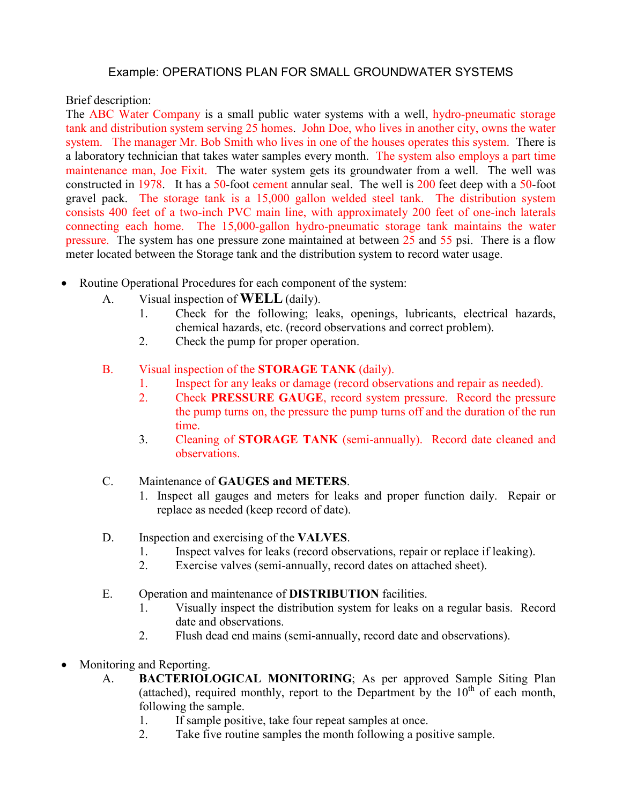## Example: OPERATIONS PLAN FOR SMALL GROUNDWATER SYSTEMS

Brief description:

The ABC Water Company is a small public water systems with a well, hydro-pneumatic storage tank and distribution system serving 25 homes. John Doe, who lives in another city, owns the water system. The manager Mr. Bob Smith who lives in one of the houses operates this system. There is a laboratory technician that takes water samples every month. The system also employs a part time maintenance man, Joe Fixit. The water system gets its groundwater from a well. The well was constructed in 1978. It has a 50-foot cement annular seal. The well is 200 feet deep with a 50-foot gravel pack. The storage tank is a 15,000 gallon welded steel tank. The distribution system consists 400 feet of a two-inch PVC main line, with approximately 200 feet of one-inch laterals connecting each home. The 15,000-gallon hydro-pneumatic storage tank maintains the water pressure. The system has one pressure zone maintained at between 25 and 55 psi. There is a flow meter located between the Storage tank and the distribution system to record water usage.

- Routine Operational Procedures for each component of the system:
	- A. Visual inspection of **WELL** (daily).
		- 1. Check for the following; leaks, openings, lubricants, electrical hazards, chemical hazards, etc. (record observations and correct problem).
		- 2. Check the pump for proper operation.
	- B. Visual inspection of the **STORAGE TANK** (daily).
		- 1. Inspect for any leaks or damage (record observations and repair as needed).
		- 2. Check **PRESSURE GAUGE**, record system pressure. Record the pressure the pump turns on, the pressure the pump turns off and the duration of the run time.
		- 3. Cleaning of **STORAGE TANK** (semi-annually). Record date cleaned and observations.
	- C. Maintenance of **GAUGES and METERS**.
		- 1. Inspect all gauges and meters for leaks and proper function daily. Repair or replace as needed (keep record of date).
	- D. Inspection and exercising of the **VALVES**.
		- 1. Inspect valves for leaks (record observations, repair or replace if leaking).<br>2. Exercise valves (semi-annually, record dates on attached sheet).
		- Exercise valves (semi-annually, record dates on attached sheet).
	- E. Operation and maintenance of **DISTRIBUTION** facilities.
		- 1. Visually inspect the distribution system for leaks on a regular basis. Record date and observations.
		- 2. Flush dead end mains (semi-annually, record date and observations).
- Monitoring and Reporting.
	- A. **BACTERIOLOGICAL MONITORING**; As per approved Sample Siting Plan (attached), required monthly, report to the Department by the  $10<sup>th</sup>$  of each month, following the sample.
		- 1. If sample positive, take four repeat samples at once.
		- 2. Take five routine samples the month following a positive sample.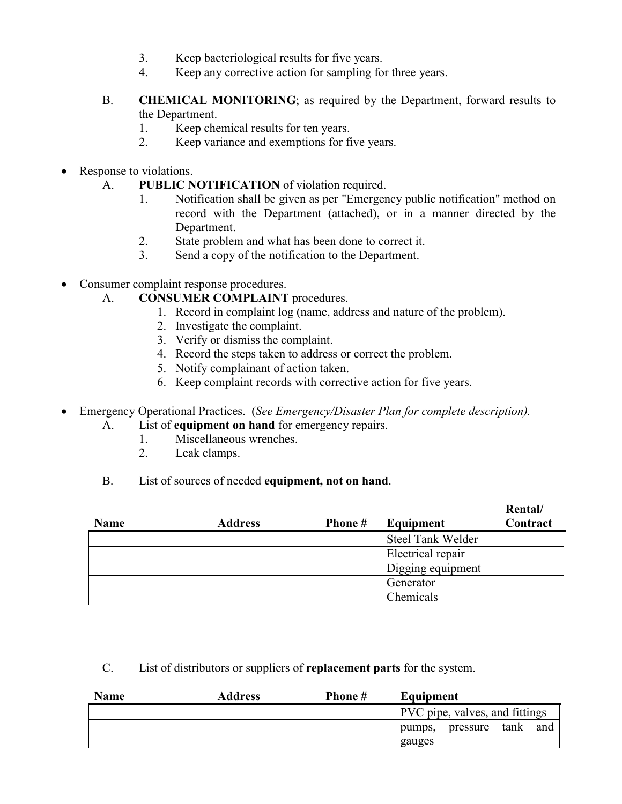- 3. Keep bacteriological results for five years.
- 4. Keep any corrective action for sampling for three years.
- B. **CHEMICAL MONITORING**; as required by the Department, forward results to the Department.
	- 1. Keep chemical results for ten years.
	- 2. Keep variance and exemptions for five years.
- Response to violations.
	- A. **PUBLIC NOTIFICATION** of violation required.
		- 1. Notification shall be given as per "Emergency public notification" method on record with the Department (attached), or in a manner directed by the Department.
		- 2. State problem and what has been done to correct it.
		- 3. Send a copy of the notification to the Department.
- Consumer complaint response procedures.
	- A. **CONSUMER COMPLAINT** procedures.
		- 1. Record in complaint log (name, address and nature of the problem).
		- 2. Investigate the complaint.
		- 3. Verify or dismiss the complaint.
		- 4. Record the steps taken to address or correct the problem.
		- 5. Notify complainant of action taken.
		- 6. Keep complaint records with corrective action for five years.
- Emergency Operational Practices. (*See Emergency/Disaster Plan for complete description).* 
	- A. List of **equipment on hand** for emergency repairs.
		- 1. Miscellaneous wrenches.<br>2. Leak clamps.
		- Leak clamps.
	- B. List of sources of needed **equipment, not on hand**.

| <b>Name</b> | <b>Address</b> | Phone # | Equipment         | Rental/<br>Contract |
|-------------|----------------|---------|-------------------|---------------------|
|             |                |         | Steel Tank Welder |                     |
|             |                |         | Electrical repair |                     |
|             |                |         | Digging equipment |                     |
|             |                |         | Generator         |                     |
|             |                |         | Chemicals         |                     |

C. List of distributors or suppliers of **replacement parts** for the system.

| <b>Name</b> | Address | Phone # | Equipment                      |
|-------------|---------|---------|--------------------------------|
|             |         |         | PVC pipe, valves, and fittings |
|             |         |         | tank<br>pumps, pressure<br>and |
|             |         |         | gauges                         |